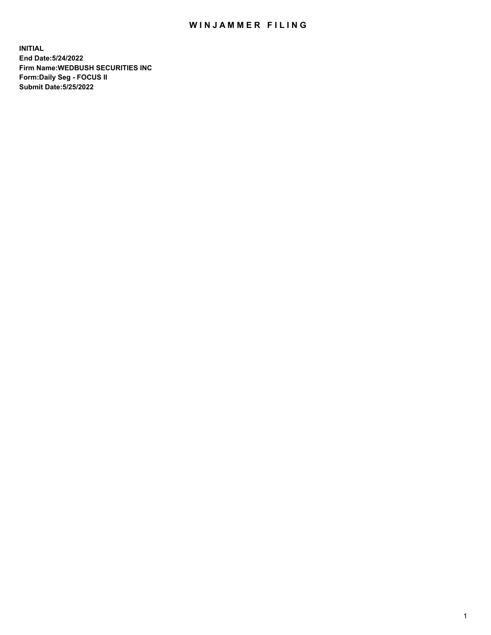## WIN JAMMER FILING

**INITIAL End Date:5/24/2022 Firm Name:WEDBUSH SECURITIES INC Form:Daily Seg - FOCUS II Submit Date:5/25/2022**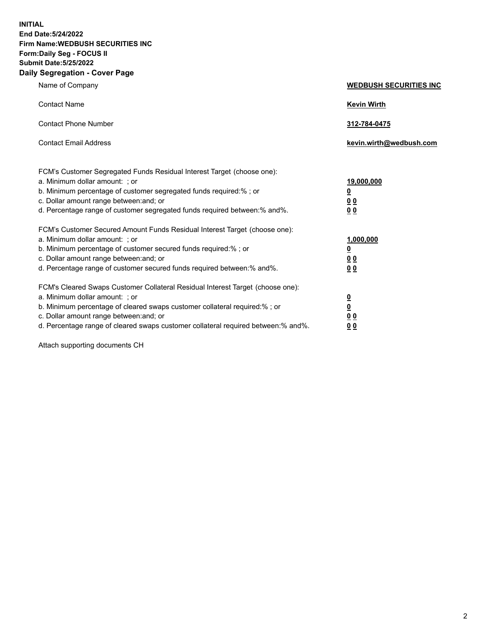**INITIAL End Date:5/24/2022 Firm Name:WEDBUSH SECURITIES INC Form:Daily Seg - FOCUS II Submit Date:5/25/2022 Daily Segregation - Cover Page**

| Name of Company                                                                                                                                                                                                                                                                                                                                                                     | <b>WEDBUSH SECURITIES INC</b>                                                              |
|-------------------------------------------------------------------------------------------------------------------------------------------------------------------------------------------------------------------------------------------------------------------------------------------------------------------------------------------------------------------------------------|--------------------------------------------------------------------------------------------|
| <b>Contact Name</b>                                                                                                                                                                                                                                                                                                                                                                 | <b>Kevin Wirth</b>                                                                         |
| <b>Contact Phone Number</b>                                                                                                                                                                                                                                                                                                                                                         | 312-784-0475                                                                               |
| <b>Contact Email Address</b>                                                                                                                                                                                                                                                                                                                                                        | kevin.wirth@wedbush.com                                                                    |
| FCM's Customer Segregated Funds Residual Interest Target (choose one):<br>a. Minimum dollar amount: ; or<br>b. Minimum percentage of customer segregated funds required:%; or<br>c. Dollar amount range between: and; or                                                                                                                                                            | 19,000,000<br>$\overline{\mathbf{0}}$<br>00                                                |
| d. Percentage range of customer segregated funds required between:% and%.<br>FCM's Customer Secured Amount Funds Residual Interest Target (choose one):<br>a. Minimum dollar amount: ; or<br>b. Minimum percentage of customer secured funds required:% ; or<br>c. Dollar amount range between: and; or<br>d. Percentage range of customer secured funds required between: % and %. | 0 <sub>0</sub><br>1,000,000<br>$\overline{\mathbf{0}}$<br>0 <sub>0</sub><br>0 <sub>0</sub> |
| FCM's Cleared Swaps Customer Collateral Residual Interest Target (choose one):<br>a. Minimum dollar amount: ; or<br>b. Minimum percentage of cleared swaps customer collateral required:%; or<br>c. Dollar amount range between: and; or                                                                                                                                            | $\frac{\frac{0}{0}}{\frac{0}{0}}$                                                          |

d. Percentage range of cleared swaps customer collateral required between:% and%. **0 0**

Attach supporting documents CH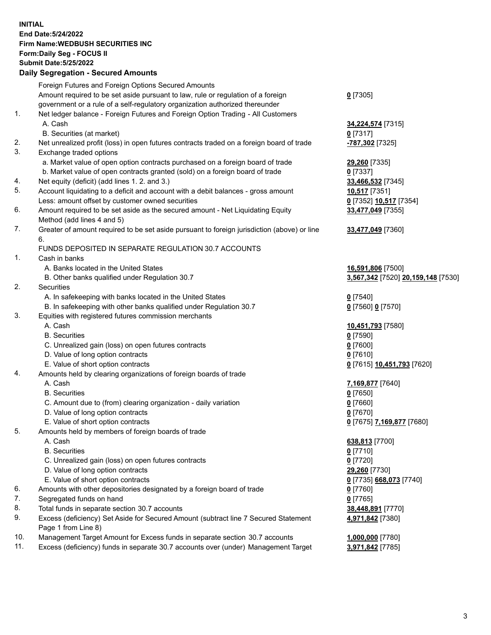**INITIAL End Date:5/24/2022 Firm Name:WEDBUSH SECURITIES INC Form:Daily Seg - FOCUS II Submit Date:5/25/2022 Daily Segregation - Secured Amounts**

|     | Daily Jegregation - Jeculed Aniounts                                                        |                                    |
|-----|---------------------------------------------------------------------------------------------|------------------------------------|
|     | Foreign Futures and Foreign Options Secured Amounts                                         |                                    |
|     | Amount required to be set aside pursuant to law, rule or regulation of a foreign            | $0$ [7305]                         |
|     | government or a rule of a self-regulatory organization authorized thereunder                |                                    |
| 1.  | Net ledger balance - Foreign Futures and Foreign Option Trading - All Customers             |                                    |
|     | A. Cash                                                                                     | <b>34,224,574</b> [7315]           |
|     | B. Securities (at market)                                                                   | $0$ [7317]                         |
| 2.  | Net unrealized profit (loss) in open futures contracts traded on a foreign board of trade   | -787,302 [7325]                    |
| 3.  | Exchange traded options                                                                     |                                    |
|     | a. Market value of open option contracts purchased on a foreign board of trade              | 29,260 [7335]                      |
|     | b. Market value of open contracts granted (sold) on a foreign board of trade                | $0$ [7337]                         |
| 4.  | Net equity (deficit) (add lines 1. 2. and 3.)                                               | 33,466,532 [7345]                  |
| 5.  | Account liquidating to a deficit and account with a debit balances - gross amount           | 10,517 [7351]                      |
|     | Less: amount offset by customer owned securities                                            | 0 [7352] 10,517 [7354]             |
| 6.  | Amount required to be set aside as the secured amount - Net Liquidating Equity              | 33,477,049 [7355]                  |
|     | Method (add lines 4 and 5)                                                                  |                                    |
| 7.  | Greater of amount required to be set aside pursuant to foreign jurisdiction (above) or line | 33,477,049 [7360]                  |
|     | 6.                                                                                          |                                    |
|     | FUNDS DEPOSITED IN SEPARATE REGULATION 30.7 ACCOUNTS                                        |                                    |
| 1.  | Cash in banks                                                                               |                                    |
|     | A. Banks located in the United States                                                       | 16,591,806 [7500]                  |
|     | B. Other banks qualified under Regulation 30.7                                              | 3,567,342 [7520] 20,159,148 [7530] |
| 2.  | Securities                                                                                  |                                    |
|     | A. In safekeeping with banks located in the United States                                   | $0$ [7540]                         |
|     | B. In safekeeping with other banks qualified under Regulation 30.7                          | 0 [7560] 0 [7570]                  |
| 3.  | Equities with registered futures commission merchants                                       |                                    |
|     | A. Cash                                                                                     | 10,451,793 [7580]                  |
|     | <b>B.</b> Securities                                                                        | $0$ [7590]                         |
|     | C. Unrealized gain (loss) on open futures contracts                                         | $0$ [7600]                         |
|     | D. Value of long option contracts                                                           | $0$ [7610]                         |
|     | E. Value of short option contracts                                                          | 0 [7615] 10,451,793 [7620]         |
| 4.  | Amounts held by clearing organizations of foreign boards of trade                           |                                    |
|     | A. Cash                                                                                     | 7,169,877 [7640]                   |
|     | <b>B.</b> Securities                                                                        | $0$ [7650]                         |
|     | C. Amount due to (from) clearing organization - daily variation                             | $0$ [7660]                         |
|     | D. Value of long option contracts                                                           | $0$ [7670]                         |
|     | E. Value of short option contracts                                                          | 0 [7675] 7,169,877 [7680]          |
| 5.  | Amounts held by members of foreign boards of trade                                          |                                    |
|     | A. Cash                                                                                     | 638,813 [7700]                     |
|     | <b>B.</b> Securities                                                                        | $0$ [7710]                         |
|     | C. Unrealized gain (loss) on open futures contracts                                         | $0$ [7720]                         |
|     | D. Value of long option contracts                                                           | 29,260 [7730]                      |
|     | E. Value of short option contracts                                                          | 0 [7735] 668,073 [7740]            |
| 6.  | Amounts with other depositories designated by a foreign board of trade                      | $0$ [7760]                         |
| 7.  | Segregated funds on hand                                                                    | $0$ [7765]                         |
| 8.  | Total funds in separate section 30.7 accounts                                               | 38,448,891 [7770]                  |
| 9.  | Excess (deficiency) Set Aside for Secured Amount (subtract line 7 Secured Statement         | 4,971,842 [7380]                   |
|     | Page 1 from Line 8)                                                                         |                                    |
| 10. | Management Target Amount for Excess funds in separate section 30.7 accounts                 | 1,000,000 [7780]                   |
| 11. | Excess (deficiency) funds in separate 30.7 accounts over (under) Management Target          | 3,971,842 [7785]                   |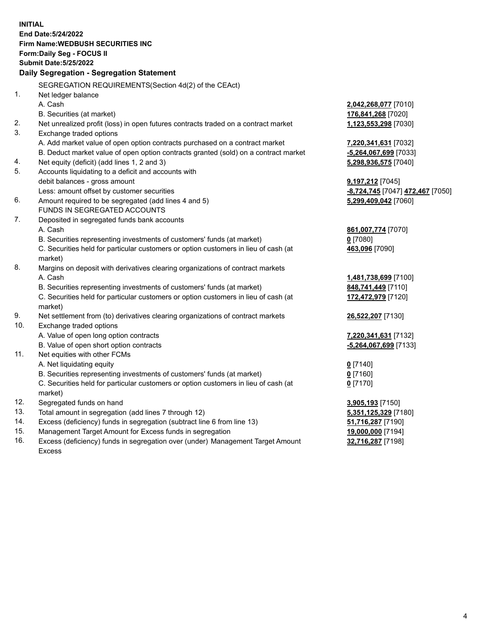|     | <b>INITIAL</b>                                                                      |                                  |
|-----|-------------------------------------------------------------------------------------|----------------------------------|
|     | End Date: 5/24/2022                                                                 |                                  |
|     | <b>Firm Name: WEDBUSH SECURITIES INC</b>                                            |                                  |
|     | Form: Daily Seg - FOCUS II                                                          |                                  |
|     | <b>Submit Date: 5/25/2022</b>                                                       |                                  |
|     | Daily Segregation - Segregation Statement                                           |                                  |
|     | SEGREGATION REQUIREMENTS(Section 4d(2) of the CEAct)                                |                                  |
| 1.  | Net ledger balance                                                                  |                                  |
|     | A. Cash                                                                             | 2,042,268,077 [7010]             |
|     | B. Securities (at market)                                                           | 176,841,268 [7020]               |
| 2.  | Net unrealized profit (loss) in open futures contracts traded on a contract market  | 1,123,553,298 [7030]             |
| 3.  | Exchange traded options                                                             |                                  |
|     | A. Add market value of open option contracts purchased on a contract market         | 7,220,341,631 [7032]             |
|     | B. Deduct market value of open option contracts granted (sold) on a contract market | -5,264,067,699 [7033]            |
| 4.  | Net equity (deficit) (add lines 1, 2 and 3)                                         | 5,298,936,575 [7040]             |
| 5.  | Accounts liquidating to a deficit and accounts with                                 |                                  |
|     | debit balances - gross amount                                                       | 9,197,212 [7045]                 |
|     | Less: amount offset by customer securities                                          | -8,724,745 [7047] 472,467 [7050] |
| 6.  | Amount required to be segregated (add lines 4 and 5)                                | 5,299,409,042 [7060]             |
|     | <b>FUNDS IN SEGREGATED ACCOUNTS</b>                                                 |                                  |
| 7.  | Deposited in segregated funds bank accounts                                         |                                  |
|     | A. Cash                                                                             | 861,007,774 [7070]               |
|     | B. Securities representing investments of customers' funds (at market)              | $0$ [7080]                       |
|     | C. Securities held for particular customers or option customers in lieu of cash (at | 463,096 [7090]                   |
|     | market)                                                                             |                                  |
| 8.  | Margins on deposit with derivatives clearing organizations of contract markets      |                                  |
|     | A. Cash                                                                             | 1,481,738,699 [7100]             |
|     | B. Securities representing investments of customers' funds (at market)              | 848,741,449 [7110]               |
|     | C. Securities held for particular customers or option customers in lieu of cash (at | 172,472,979 [7120]               |
|     | market)                                                                             |                                  |
| 9.  | Net settlement from (to) derivatives clearing organizations of contract markets     | 26,522,207 [7130]                |
| 10. | Exchange traded options                                                             |                                  |
|     | A. Value of open long option contracts                                              | 7,220,341,631 [7132]             |
|     | B. Value of open short option contracts                                             | -5,264,067,699 [7133]            |
| 11. | Net equities with other FCMs                                                        |                                  |
|     | A. Net liquidating equity                                                           | $Q$ [7140]                       |
|     | B. Securities representing investments of customers' funds (at market)              | $0$ [7160]                       |
|     | C. Securities held for particular customers or option customers in lieu of cash (at | $0$ [7170]                       |
|     | market)                                                                             |                                  |
| 12. | Segregated funds on hand                                                            | 3,905,193 [7150]                 |
| 13. | Total amount in segregation (add lines 7 through 12)                                | 5,351,125,329 [7180]             |
| 14. | Excess (deficiency) funds in segregation (subtract line 6 from line 13)             | 51,716,287 [7190]                |
| 15. | Management Target Amount for Excess funds in segregation                            | 19,000,000 [7194]                |
| 16. | Excess (deficiency) funds in segregation over (under) Management Target Amount      | 32,716,287 [7198]                |
|     | Excess                                                                              |                                  |